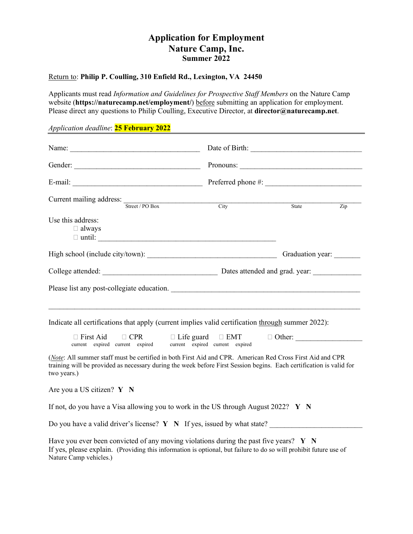# **Application for Employment Nature Camp, Inc. Summer 2022**

### Return to: **Philip P. Coulling, 310 Enfield Rd., Lexington, VA 24450**

Applicants must read *Information and Guidelines for Prospective Staff Members* on the Nature Camp website (**https://naturecamp.net/employment/**) before submitting an application for employment. Please direct any questions to Philip Coulling, Executive Director, at **director@naturecamp.net**.

## *Application deadline*: **25 February 2022**

| Current mailing address: Street / PO Box                                                                                                                                                                                                         | City | State            | Zip |  |
|--------------------------------------------------------------------------------------------------------------------------------------------------------------------------------------------------------------------------------------------------|------|------------------|-----|--|
| Use this address:<br>$\Box$ always<br>$\Box$ until:                                                                                                                                                                                              |      |                  |     |  |
|                                                                                                                                                                                                                                                  |      | Graduation year: |     |  |
|                                                                                                                                                                                                                                                  |      |                  |     |  |
|                                                                                                                                                                                                                                                  |      |                  |     |  |
| Indicate all certifications that apply (current implies valid certification through summer 2022):                                                                                                                                                |      |                  |     |  |
| $\Box$ First Aid<br>current expired current expired current expired current expired                                                                                                                                                              |      |                  |     |  |
| (Note: All summer staff must be certified in both First Aid and CPR. American Red Cross First Aid and CPR<br>training will be provided as necessary during the week before First Session begins. Each certification is valid for<br>two years.)  |      |                  |     |  |
| Are you a US citizen? $Y \ N$                                                                                                                                                                                                                    |      |                  |     |  |
| If not, do you have a Visa allowing you to work in the US through August 2022? $Y \ N$                                                                                                                                                           |      |                  |     |  |
| Do you have a valid driver's license? $Y \ N$ If yes, issued by what state?                                                                                                                                                                      |      |                  |     |  |
| Have you ever been convicted of any moving violations during the past five years? $\bf{Y} \bf{N}$<br>If yes, please explain. (Providing this information is optional, but failure to do so will prohibit future use of<br>Nature Camp vehicles.) |      |                  |     |  |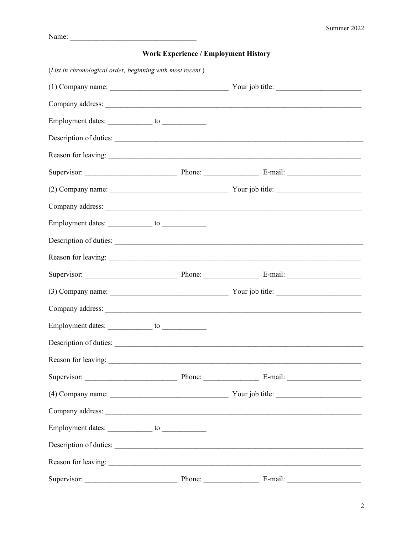# (List in chronological order, beginning with most recent.) Company address: Description of duties: Reason for leaving: (2) Company name: Your job title: Company address: The company address of the company address of the company address of the company and the company and the company address of the company address of the company and the company and the company address of the Employment dates: to to to the to the to the to the to the to the to the to the to the to the to the to the to the to the to the to the to the to the to the to the to the to the to the to the to the to the to the to the to Description of duties: Supervisor: Phone: E-mail: (3) Company name: Your job title: Company address: Reason for leaving: Supervisor: Phone: E-mail: Company address: The Company and The Company and The Company and The Company and The Company and The Company and The Company and The Company and The Company and The Company and The Company and The Company and The Company a Reason for leaving: Supervisor: Phone: E-mail:

### **Work Experience / Employment History**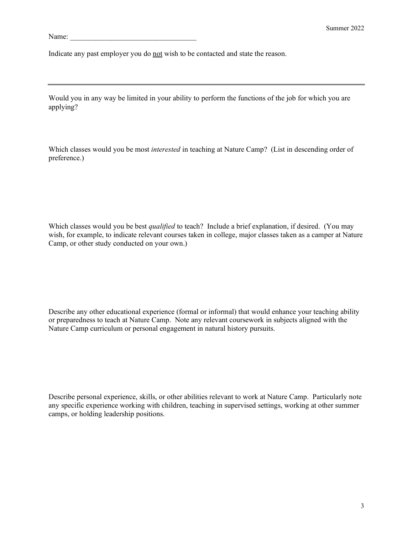Name:

Indicate any past employer you do not wish to be contacted and state the reason.

Would you in any way be limited in your ability to perform the functions of the job for which you are applying?

Which classes would you be most *interested* in teaching at Nature Camp? (List in descending order of preference.)

Which classes would you be best *qualified* to teach? Include a brief explanation, if desired. (You may wish, for example, to indicate relevant courses taken in college, major classes taken as a camper at Nature Camp, or other study conducted on your own.)

Describe any other educational experience (formal or informal) that would enhance your teaching ability or preparedness to teach at Nature Camp. Note any relevant coursework in subjects aligned with the Nature Camp curriculum or personal engagement in natural history pursuits.

Describe personal experience, skills, or other abilities relevant to work at Nature Camp. Particularly note any specific experience working with children, teaching in supervised settings, working at other summer camps, or holding leadership positions.